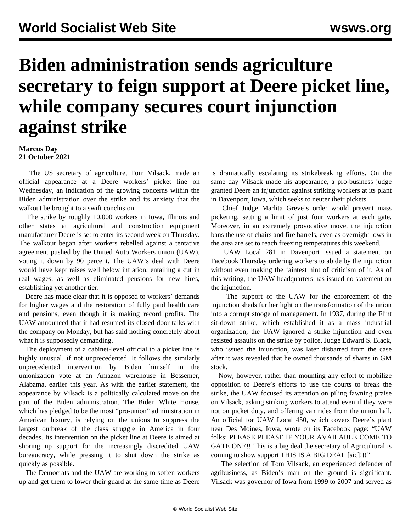## **Biden administration sends agriculture secretary to feign support at Deere picket line, while company secures court injunction against strike**

## **Marcus Day 21 October 2021**

 The US secretary of agriculture, Tom Vilsack, made an official appearance at a Deere workers' picket line on Wednesday, an indication of the growing concerns within the Biden administration over the strike and its anxiety that the walkout be brought to a swift conclusion.

 The strike by roughly 10,000 workers in Iowa, Illinois and other states at agricultural and construction equipment manufacturer Deere is set to enter its second week on Thursday. The walkout began after workers rebelled against a tentative agreement pushed by the United Auto Workers union (UAW), voting it down by 90 percent. The UAW's deal with Deere would have kept raises well below inflation, entailing a cut in real wages, as well as eliminated pensions for new hires, establishing yet another tier.

 Deere has made clear that it is opposed to workers' demands for higher wages and the restoration of fully paid health care and pensions, even though it is making record profits. The UAW announced that it had resumed its closed-door talks with the company on Monday, but has said nothing concretely about what it is supposedly demanding.

 The deployment of a cabinet-level official to a picket line is highly unusual, if not unprecedented. It follows the similarly unprecedented intervention by Biden himself in the unionization vote at an Amazon warehouse in Bessemer, Alabama, earlier this year. As with the earlier statement, the appearance by Vilsack is a politically calculated move on the part of the Biden administration. The Biden White House, which has pledged to be the most "pro-union" administration in American history, is relying on the unions to suppress the largest outbreak of the class struggle in America in four decades. Its intervention on the picket line at Deere is aimed at shoring up support for the increasingly discredited UAW bureaucracy, while pressing it to shut down the strike as quickly as possible.

 The Democrats and the UAW are working to soften workers up and get them to lower their guard at the same time as Deere

is dramatically escalating its strikebreaking efforts. On the same day Vilsack made his appearance, a pro-business judge granted Deere an injunction against striking workers at its plant in Davenport, Iowa, which seeks to neuter their pickets.

 Chief Judge Marlita Greve's order would prevent mass picketing, setting a limit of just four workers at each gate. Moreover, in an extremely provocative move, the injunction bans the use of chairs and fire barrels, even as overnight lows in the area are set to reach freezing temperatures this weekend.

 UAW Local 281 in Davenport issued a statement on Facebook Thursday ordering workers to abide by the injunction without even making the faintest hint of criticism of it. As of this writing, the UAW headquarters has issued no statement on the injunction.

 The support of the UAW for the enforcement of the injunction sheds further light on the transformation of the union into a corrupt stooge of management. In 1937, during the [Flint](/en/articles/2019/10/01/flin-o01.html) [sit-down strike](/en/articles/2019/10/01/flin-o01.html), which established it as a mass industrial organization, the UAW ignored a strike injunction and even resisted assaults on the strike by police. Judge Edward S. Black, who issued the injunction, was later disbarred from the case after it was revealed that he owned thousands of shares in GM stock.

 Now, however, rather than mounting any effort to mobilize opposition to Deere's efforts to use the courts to break the strike, the UAW focused its attention on piling fawning praise on Vilsack, asking striking workers to attend even if they were not on picket duty, and offering van rides from the union hall. An official for UAW Local 450, which covers Deere's plant near Des Moines, Iowa, wrote on its Facebook page: "UAW folks: PLEASE PLEASE IF YOUR AVAILABLE COME TO GATE ONE!! This is a big deal the secretary of Agricultural is coming to show support THIS IS A BIG DEAL [sic]!!!"

 The selection of Tom Vilsack, an experienced defender of agribusiness, as Biden's man on the ground is significant. Vilsack was governor of Iowa from 1999 to 2007 and served as